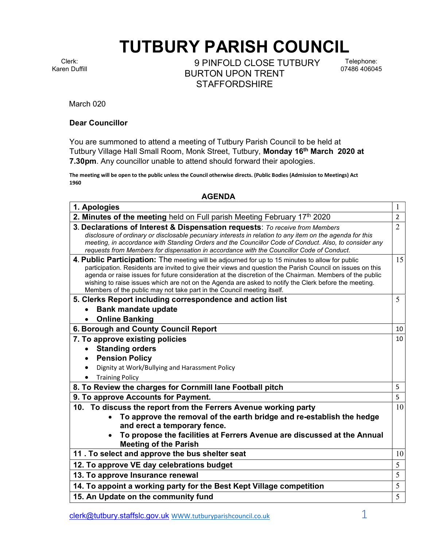## TUTBURY PARISH COUNCIL

Clerk: Karen Duffill

9 PINFOLD CLOSE TUTBURY BURTON UPON TRENT **STAFFORDSHIRE** 

Telephone: 07486 406045

March 020

## Dear Councillor

You are summoned to attend a meeting of Tutbury Parish Council to be held at Tutbury Village Hall Small Room, Monk Street, Tutbury, Monday 16<sup>th</sup> March 2020 at 7.30pm. Any councillor unable to attend should forward their apologies.

The meeting will be open to the public unless the Council otherwise directs. (Public Bodies (Admission to Meetings) Act 1960

## AGENDA

| 1. Apologies                                                                                                                                                                                                                                                                                                                                                                                                                                                                                                 | 1              |  |
|--------------------------------------------------------------------------------------------------------------------------------------------------------------------------------------------------------------------------------------------------------------------------------------------------------------------------------------------------------------------------------------------------------------------------------------------------------------------------------------------------------------|----------------|--|
| 2. Minutes of the meeting held on Full parish Meeting February 17th 2020                                                                                                                                                                                                                                                                                                                                                                                                                                     | 2              |  |
| 3. Declarations of Interest & Dispensation requests: To receive from Members<br>disclosure of ordinary or disclosable pecuniary interests in relation to any item on the agenda for this<br>meeting, in accordance with Standing Orders and the Councillor Code of Conduct. Also, to consider any<br>requests from Members for dispensation in accordance with the Councillor Code of Conduct.                                                                                                               | $\overline{2}$ |  |
| 4. Public Participation: The meeting will be adjourned for up to 15 minutes to allow for public<br>participation. Residents are invited to give their views and question the Parish Council on issues on this<br>agenda or raise issues for future consideration at the discretion of the Chairman. Members of the public<br>wishing to raise issues which are not on the Agenda are asked to notify the Clerk before the meeting.<br>Members of the public may not take part in the Council meeting itself. | 15             |  |
| 5. Clerks Report including correspondence and action list                                                                                                                                                                                                                                                                                                                                                                                                                                                    | 5              |  |
| <b>Bank mandate update</b>                                                                                                                                                                                                                                                                                                                                                                                                                                                                                   |                |  |
| <b>Online Banking</b>                                                                                                                                                                                                                                                                                                                                                                                                                                                                                        |                |  |
| 6. Borough and County Council Report                                                                                                                                                                                                                                                                                                                                                                                                                                                                         | 10             |  |
| 7. To approve existing policies                                                                                                                                                                                                                                                                                                                                                                                                                                                                              | 10             |  |
| <b>Standing orders</b>                                                                                                                                                                                                                                                                                                                                                                                                                                                                                       |                |  |
| <b>Pension Policy</b>                                                                                                                                                                                                                                                                                                                                                                                                                                                                                        |                |  |
| Dignity at Work/Bullying and Harassment Policy                                                                                                                                                                                                                                                                                                                                                                                                                                                               |                |  |
| <b>Training Policy</b>                                                                                                                                                                                                                                                                                                                                                                                                                                                                                       |                |  |
| 8. To Review the charges for Cornmill lane Football pitch                                                                                                                                                                                                                                                                                                                                                                                                                                                    | 5              |  |
| 9. To approve Accounts for Payment.                                                                                                                                                                                                                                                                                                                                                                                                                                                                          | 5              |  |
| 10. To discuss the report from the Ferrers Avenue working party                                                                                                                                                                                                                                                                                                                                                                                                                                              | 10             |  |
| To approve the removal of the earth bridge and re-establish the hedge<br>$\bullet$                                                                                                                                                                                                                                                                                                                                                                                                                           |                |  |
| and erect a temporary fence.                                                                                                                                                                                                                                                                                                                                                                                                                                                                                 |                |  |
| To propose the facilities at Ferrers Avenue are discussed at the Annual<br><b>Meeting of the Parish</b>                                                                                                                                                                                                                                                                                                                                                                                                      |                |  |
| 11. To select and approve the bus shelter seat                                                                                                                                                                                                                                                                                                                                                                                                                                                               | 10             |  |
| 12. To approve VE day celebrations budget                                                                                                                                                                                                                                                                                                                                                                                                                                                                    | 5              |  |
| 13. To approve Insurance renewal                                                                                                                                                                                                                                                                                                                                                                                                                                                                             | 5              |  |
| 14. To appoint a working party for the Best Kept Village competition                                                                                                                                                                                                                                                                                                                                                                                                                                         | 5              |  |
| 15. An Update on the community fund                                                                                                                                                                                                                                                                                                                                                                                                                                                                          | 5              |  |